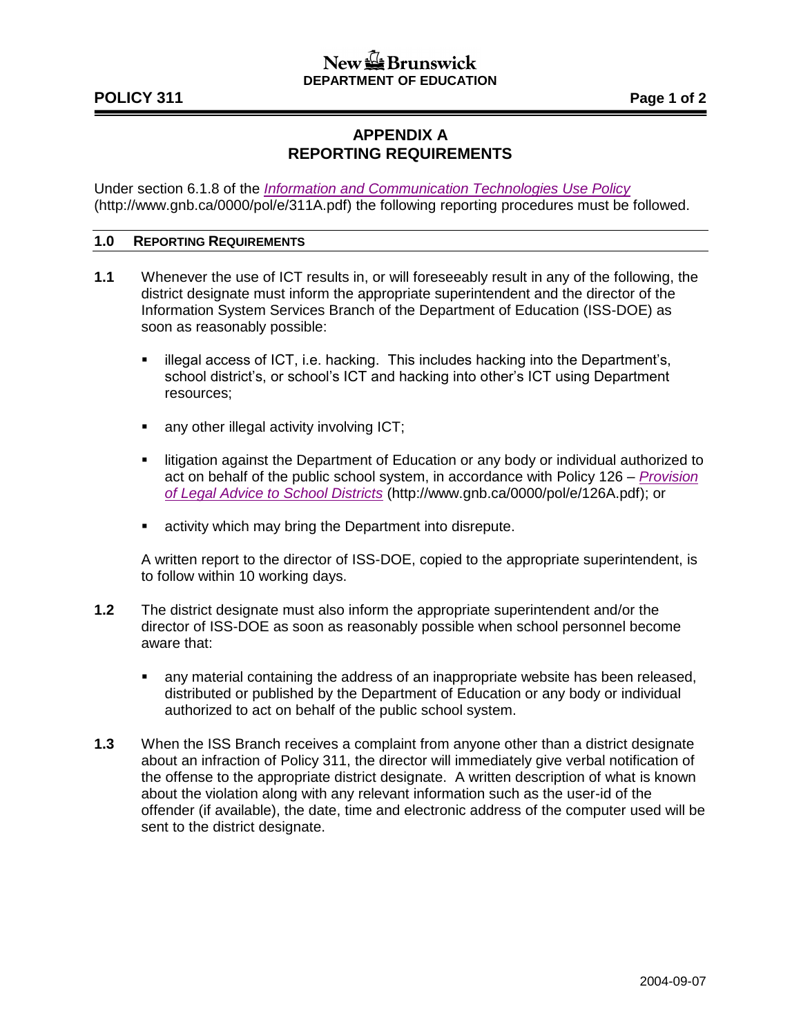## $\frac{1}{2}$  Brunswick **DEPARTMENT OF EDUCATION**

# **APPENDIX A REPORTING REQUIREMENTS**

Under section 6.1.8 of the *[Information and Communication Technologies Use Policy](http://www2.gnb.ca/content/dam/gnb/Departments/ed/pdf/K12/policies-politiques/e/311A.pdf)* (http://www.gnb.ca/0000/pol/e/311A.pdf) the following reporting procedures must be followed.

#### **1.0 REPORTING REQUIREMENTS**

- **1.1** Whenever the use of ICT results in, or will foreseeably result in any of the following, the district designate must inform the appropriate superintendent and the director of the Information System Services Branch of the Department of Education (ISS-DOE) as soon as reasonably possible:
	- **EXEDERE** illegal access of ICT, i.e. hacking. This includes hacking into the Department's, school district's, or school's ICT and hacking into other's ICT using Department resources;
	- any other illegal activity involving ICT;
	- **EXT** litigation against the Department of Education or any body or individual authorized to act on behalf of the public school system, in accordance with Policy 126 – *[Provision](http://www2.gnb.ca/content/dam/gnb/Departments/ed/pdf/K12/policies-politiques/e/126A.pdf)  [of Legal Advice to School Districts](http://www2.gnb.ca/content/dam/gnb/Departments/ed/pdf/K12/policies-politiques/e/126A.pdf)* (http://www.gnb.ca/0000/pol/e/126A.pdf); or
	- **EXECT** activity which may bring the Department into disrepute.

A written report to the director of ISS-DOE, copied to the appropriate superintendent, is to follow within 10 working days.

- **1.2** The district designate must also inform the appropriate superintendent and/or the director of ISS-DOE as soon as reasonably possible when school personnel become aware that:
	- any material containing the address of an inappropriate website has been released, distributed or published by the Department of Education or any body or individual authorized to act on behalf of the public school system.
- **1.3** When the ISS Branch receives a complaint from anyone other than a district designate about an infraction of Policy 311, the director will immediately give verbal notification of the offense to the appropriate district designate. A written description of what is known about the violation along with any relevant information such as the user-id of the offender (if available), the date, time and electronic address of the computer used will be sent to the district designate.